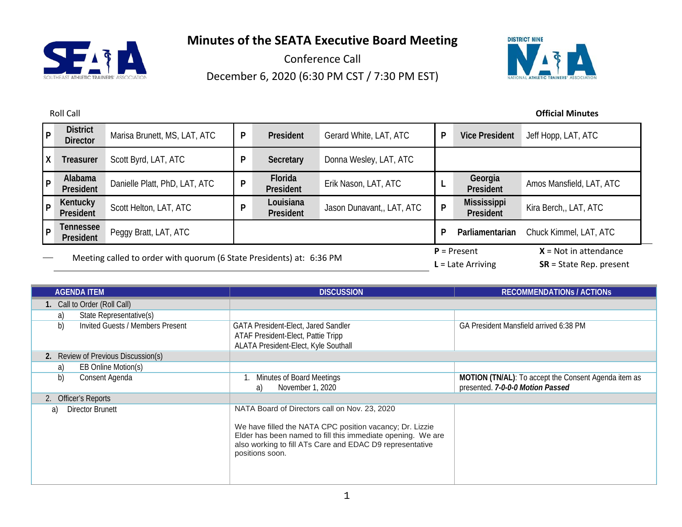

Conference Call December 6, 2020 (6:30 PM CST / 7:30 PM EST)



| l p          | <b>District</b><br><b>Director</b>                                   | Marisa Brunett, MS, LAT, ATC  | P | President              | Gerard White, LAT, ATC    | P                                    | <b>Vice President</b>                                | Jeff Hopp, LAT, ATC      |
|--------------|----------------------------------------------------------------------|-------------------------------|---|------------------------|---------------------------|--------------------------------------|------------------------------------------------------|--------------------------|
| $\mathsf{X}$ | Treasurer                                                            | Scott Byrd, LAT, ATC          | P | Secretary              | Donna Wesley, LAT, ATC    |                                      |                                                      |                          |
| l P          | Alabama<br>President                                                 | Danielle Platt, PhD, LAT, ATC | D | Florida<br>President   | Erik Nason, LAT, ATC      |                                      | Georgia<br>President                                 | Amos Mansfield, LAT, ATC |
| l P          | Kentucky<br>President                                                | Scott Helton, LAT, ATC        | D | Louisiana<br>President | Jason Dunavant,, LAT, ATC | P                                    | <b>Mississippi</b><br>President                      | Kira Berch,, LAT, ATC    |
| l P          | Tennessee<br>President                                               | Peggy Bratt, LAT, ATC         |   |                        |                           | D                                    | Parliamentarian                                      | Chuck Kimmel, LAT, ATC   |
|              | Meeting called to order with quorum (6 State Presidents) at: 6:36 PM |                               |   |                        |                           | $P =$ Present<br>$L =$ Late Arriving | $X = Not in attendance$<br>$SR = State Rep. present$ |                          |

| <b>AGENDA ITEM</b>                     | <b>DISCUSSION</b>                                                                                                                                                                                                                                       | <b>RECOMMENDATIONS / ACTIONS</b>                                                         |
|----------------------------------------|---------------------------------------------------------------------------------------------------------------------------------------------------------------------------------------------------------------------------------------------------------|------------------------------------------------------------------------------------------|
| 1. Call to Order (Roll Call)           |                                                                                                                                                                                                                                                         |                                                                                          |
| State Representative(s)<br>a)          |                                                                                                                                                                                                                                                         |                                                                                          |
| b)<br>Invited Guests / Members Present | GATA President-Elect, Jared Sandler<br>ATAF President-Elect, Pattie Tripp<br>ALATA President-Elect, Kyle Southall                                                                                                                                       | GA President Mansfield arrived 6:38 PM                                                   |
| 2. Review of Previous Discussion(s)    |                                                                                                                                                                                                                                                         |                                                                                          |
| EB Online Motion(s)<br>a)              |                                                                                                                                                                                                                                                         |                                                                                          |
| b)<br>Consent Agenda                   | <b>Minutes of Board Meetings</b><br>November 1, 2020<br>a)                                                                                                                                                                                              | MOTION (TN/AL): To accept the Consent Agenda item as<br>presented. 7-0-0-0 Motion Passed |
| 2. Officer's Reports                   |                                                                                                                                                                                                                                                         |                                                                                          |
| Director Brunett<br>a)                 | NATA Board of Directors call on Nov. 23, 2020<br>We have filled the NATA CPC position vacancy; Dr. Lizzie<br>Elder has been named to fill this immediate opening. We are<br>also working to fill ATs Care and EDAC D9 representative<br>positions soon. |                                                                                          |

### Roll Call **Official Minutes**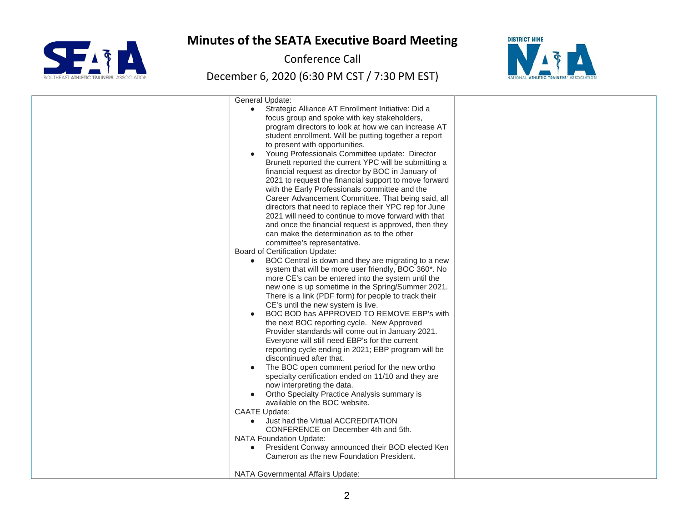

Conference Call



| General Update:<br>Strategic Alliance AT Enrollment Initiative: Did a<br>$\bullet$<br>focus group and spoke with key stakeholders,<br>program directors to look at how we can increase AT<br>student enrollment. Will be putting together a report<br>to present with opportunities.<br>Young Professionals Committee update: Director<br>Brunett reported the current YPC will be submitting a<br>financial request as director by BOC in January of<br>2021 to request the financial support to move forward                                                                                                                                                                                                                                                                                                                                                                                                                                                                                                                                                                                                                                                                                                                                                                                   |  |
|--------------------------------------------------------------------------------------------------------------------------------------------------------------------------------------------------------------------------------------------------------------------------------------------------------------------------------------------------------------------------------------------------------------------------------------------------------------------------------------------------------------------------------------------------------------------------------------------------------------------------------------------------------------------------------------------------------------------------------------------------------------------------------------------------------------------------------------------------------------------------------------------------------------------------------------------------------------------------------------------------------------------------------------------------------------------------------------------------------------------------------------------------------------------------------------------------------------------------------------------------------------------------------------------------|--|
| with the Early Professionals committee and the<br>Career Advancement Committee. That being said, all<br>directors that need to replace their YPC rep for June<br>2021 will need to continue to move forward with that<br>and once the financial request is approved, then they<br>can make the determination as to the other<br>committee's representative.<br>Board of Certification Update:<br>BOC Central is down and they are migrating to a new<br>$\bullet$<br>system that will be more user friendly, BOC 360*. No<br>more CE's can be entered into the system until the<br>new one is up sometime in the Spring/Summer 2021.<br>There is a link (PDF form) for people to track their<br>CE's until the new system is live.<br>BOC BOD has APPROVED TO REMOVE EBP's with<br>the next BOC reporting cycle. New Approved<br>Provider standards will come out in January 2021.<br>Everyone will still need EBP's for the current<br>reporting cycle ending in 2021; EBP program will be<br>discontinued after that.<br>The BOC open comment period for the new ortho<br>$\bullet$<br>specialty certification ended on 11/10 and they are<br>now interpreting the data.<br>Ortho Specialty Practice Analysis summary is<br>$\bullet$<br>available on the BOC website.<br><b>CAATE Update:</b> |  |
| Just had the Virtual ACCREDITATION<br>$\bullet$<br>CONFERENCE on December 4th and 5th.<br><b>NATA Foundation Update:</b><br>President Conway announced their BOD elected Ken<br>$\bullet$<br>Cameron as the new Foundation President.<br>NATA Governmental Affairs Update:                                                                                                                                                                                                                                                                                                                                                                                                                                                                                                                                                                                                                                                                                                                                                                                                                                                                                                                                                                                                                       |  |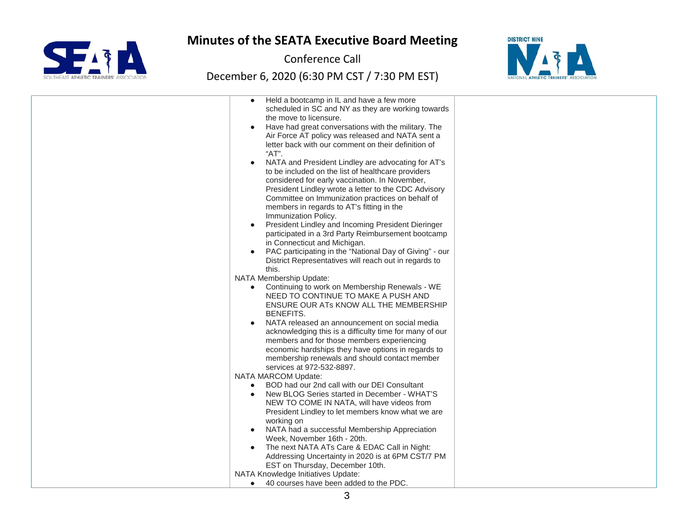

Conference Call



| Held a bootcamp in IL and have a few more               |  |
|---------------------------------------------------------|--|
| scheduled in SC and NY as they are working towards      |  |
| the move to licensure.                                  |  |
| Have had great conversations with the military. The     |  |
| Air Force AT policy was released and NATA sent a        |  |
| letter back with our comment on their definition of     |  |
| "AT".                                                   |  |
|                                                         |  |
| NATA and President Lindley are advocating for AT's      |  |
| to be included on the list of healthcare providers      |  |
| considered for early vaccination. In November,          |  |
| President Lindley wrote a letter to the CDC Advisory    |  |
| Committee on Immunization practices on behalf of        |  |
| members in regards to AT's fitting in the               |  |
| Immunization Policy.                                    |  |
| President Lindley and Incoming President Dieringer      |  |
| participated in a 3rd Party Reimbursement bootcamp      |  |
| in Connecticut and Michigan.                            |  |
| PAC participating in the "National Day of Giving" - our |  |
| District Representatives will reach out in regards to   |  |
| this.                                                   |  |
| NATA Membership Update:                                 |  |
| Continuing to work on Membership Renewals - WE          |  |
| NEED TO CONTINUE TO MAKE A PUSH AND                     |  |
| ENSURE OUR ATs KNOW ALL THE MEMBERSHIP                  |  |
| <b>BENEFITS.</b>                                        |  |
| NATA released an announcement on social media           |  |
| acknowledging this is a difficulty time for many of our |  |
| members and for those members experiencing              |  |
| economic hardships they have options in regards to      |  |
| membership renewals and should contact member           |  |
| services at 972-532-8897.                               |  |
| NATA MARCOM Update:                                     |  |
| BOD had our 2nd call with our DEI Consultant            |  |
| New BLOG Series started in December - WHAT'S            |  |
| NEW TO COME IN NATA, will have videos from              |  |
| President Lindley to let members know what we are       |  |
| working on                                              |  |
| NATA had a successful Membership Appreciation           |  |
| Week, November 16th - 20th.                             |  |
| The next NATA ATs Care & EDAC Call in Night:            |  |
| Addressing Uncertainty in 2020 is at 6PM CST/7 PM       |  |
| EST on Thursday, December 10th.                         |  |
| NATA Knowledge Initiatives Update:                      |  |
| 40 courses have been added to the PDC.                  |  |
|                                                         |  |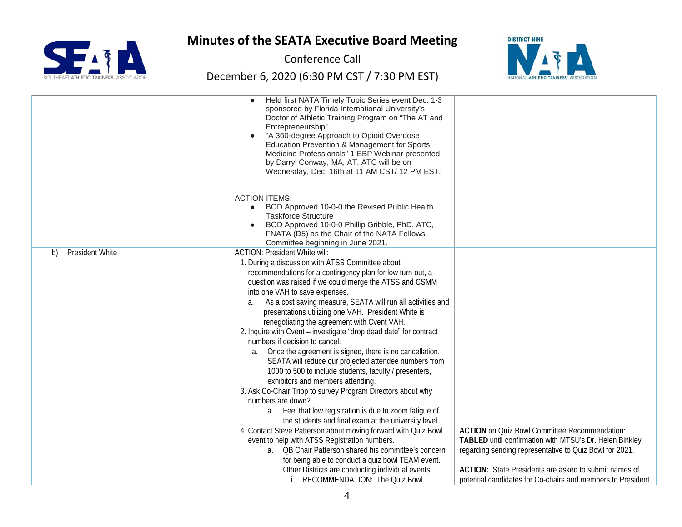

Conference Call



|                              | Held first NATA Timely Topic Series event Dec. 1-3<br>sponsored by Florida International University's<br>Doctor of Athletic Training Program on "The AT and<br>Entrepreneurship".<br>"A 360-degree Approach to Opioid Overdose<br>Education Prevention & Management for Sports<br>Medicine Professionals" 1 EBP Webinar presented<br>by Darryl Conway, MA, AT, ATC will be on<br>Wednesday, Dec. 16th at 11 AM CST/ 12 PM EST. |                                                             |
|------------------------------|--------------------------------------------------------------------------------------------------------------------------------------------------------------------------------------------------------------------------------------------------------------------------------------------------------------------------------------------------------------------------------------------------------------------------------|-------------------------------------------------------------|
|                              |                                                                                                                                                                                                                                                                                                                                                                                                                                |                                                             |
|                              | <b>ACTION ITEMS:</b><br>BOD Approved 10-0-0 the Revised Public Health                                                                                                                                                                                                                                                                                                                                                          |                                                             |
|                              | <b>Taskforce Structure</b>                                                                                                                                                                                                                                                                                                                                                                                                     |                                                             |
|                              | BOD Approved 10-0-0 Phillip Gribble, PhD, ATC,                                                                                                                                                                                                                                                                                                                                                                                 |                                                             |
|                              | FNATA (D5) as the Chair of the NATA Fellows<br>Committee beginning in June 2021.                                                                                                                                                                                                                                                                                                                                               |                                                             |
| <b>President White</b><br>b) | <b>ACTION: President White will:</b>                                                                                                                                                                                                                                                                                                                                                                                           |                                                             |
|                              | 1. During a discussion with ATSS Committee about                                                                                                                                                                                                                                                                                                                                                                               |                                                             |
|                              | recommendations for a contingency plan for low turn-out, a                                                                                                                                                                                                                                                                                                                                                                     |                                                             |
|                              | question was raised if we could merge the ATSS and CSMM                                                                                                                                                                                                                                                                                                                                                                        |                                                             |
|                              | into one VAH to save expenses.                                                                                                                                                                                                                                                                                                                                                                                                 |                                                             |
|                              | As a cost saving measure, SEATA will run all activities and<br>a.                                                                                                                                                                                                                                                                                                                                                              |                                                             |
|                              | presentations utilizing one VAH. President White is                                                                                                                                                                                                                                                                                                                                                                            |                                                             |
|                              | renegotiating the agreement with Cvent VAH.<br>2. Inquire with Cvent - investigate "drop dead date" for contract                                                                                                                                                                                                                                                                                                               |                                                             |
|                              | numbers if decision to cancel.                                                                                                                                                                                                                                                                                                                                                                                                 |                                                             |
|                              | Once the agreement is signed, there is no cancellation.<br>a.                                                                                                                                                                                                                                                                                                                                                                  |                                                             |
|                              | SEATA will reduce our projected attendee numbers from                                                                                                                                                                                                                                                                                                                                                                          |                                                             |
|                              | 1000 to 500 to include students, faculty / presenters,                                                                                                                                                                                                                                                                                                                                                                         |                                                             |
|                              | exhibitors and members attending.                                                                                                                                                                                                                                                                                                                                                                                              |                                                             |
|                              | 3. Ask Co-Chair Tripp to survey Program Directors about why                                                                                                                                                                                                                                                                                                                                                                    |                                                             |
|                              | numbers are down?                                                                                                                                                                                                                                                                                                                                                                                                              |                                                             |
|                              | a. Feel that low registration is due to zoom fatigue of<br>the students and final exam at the university level.                                                                                                                                                                                                                                                                                                                |                                                             |
|                              | 4. Contact Steve Patterson about moving forward with Quiz Bowl                                                                                                                                                                                                                                                                                                                                                                 | <b>ACTION</b> on Quiz Bowl Committee Recommendation:        |
|                              | event to help with ATSS Registration numbers.                                                                                                                                                                                                                                                                                                                                                                                  | TABLED until confirmation with MTSU's Dr. Helen Binkley     |
|                              | a.  QB Chair Patterson shared his committee's concern                                                                                                                                                                                                                                                                                                                                                                          | regarding sending representative to Quiz Bowl for 2021.     |
|                              | for being able to conduct a quiz bowl TEAM event.                                                                                                                                                                                                                                                                                                                                                                              |                                                             |
|                              | Other Districts are conducting individual events.                                                                                                                                                                                                                                                                                                                                                                              | ACTION: State Presidents are asked to submit names of       |
|                              | RECOMMENDATION: The Quiz Bowl                                                                                                                                                                                                                                                                                                                                                                                                  | potential candidates for Co-chairs and members to President |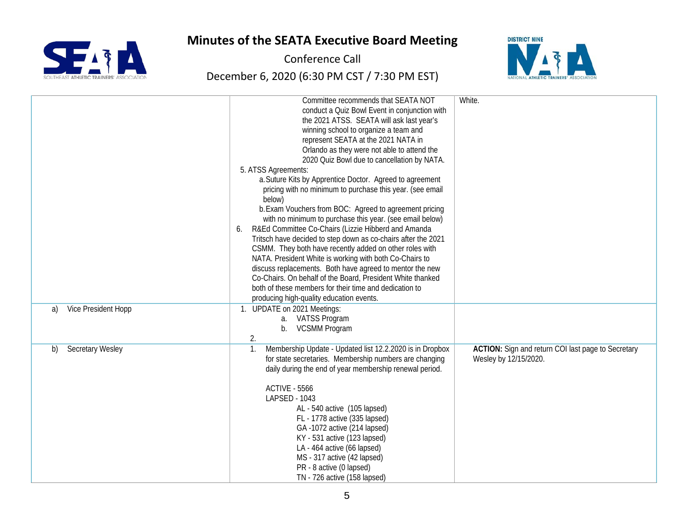

Conference Call



|                               | Committee recommends that SEATA NOT<br>conduct a Quiz Bowl Event in conjunction with<br>the 2021 ATSS. SEATA will ask last year's<br>winning school to organize a team and<br>represent SEATA at the 2021 NATA in<br>Orlando as they were not able to attend the<br>2020 Quiz Bowl due to cancellation by NATA.<br>5. ATSS Agreements:<br>a. Suture Kits by Apprentice Doctor. Agreed to agreement<br>pricing with no minimum to purchase this year. (see email<br>below)<br>b. Exam Vouchers from BOC: Agreed to agreement pricing<br>with no minimum to purchase this year. (see email below)<br>R&Ed Committee Co-Chairs (Lizzie Hibberd and Amanda<br>6.<br>Tritsch have decided to step down as co-chairs after the 2021<br>CSMM. They both have recently added on other roles with<br>NATA. President White is working with both Co-Chairs to<br>discuss replacements. Both have agreed to mentor the new<br>Co-Chairs. On behalf of the Board, President White thanked<br>both of these members for their time and dedication to<br>producing high-quality education events. | White.                                                                      |
|-------------------------------|-------------------------------------------------------------------------------------------------------------------------------------------------------------------------------------------------------------------------------------------------------------------------------------------------------------------------------------------------------------------------------------------------------------------------------------------------------------------------------------------------------------------------------------------------------------------------------------------------------------------------------------------------------------------------------------------------------------------------------------------------------------------------------------------------------------------------------------------------------------------------------------------------------------------------------------------------------------------------------------------------------------------------------------------------------------------------------------|-----------------------------------------------------------------------------|
| Vice President Hopp<br>a)     | 1. UPDATE on 2021 Meetings:<br>a. VATSS Program<br><b>VCSMM Program</b><br>b.<br>2.                                                                                                                                                                                                                                                                                                                                                                                                                                                                                                                                                                                                                                                                                                                                                                                                                                                                                                                                                                                                 |                                                                             |
| <b>Secretary Wesley</b><br>b) | Membership Update - Updated list 12.2.2020 is in Dropbox<br>1.<br>for state secretaries. Membership numbers are changing<br>daily during the end of year membership renewal period.<br><b>ACTIVE - 5566</b><br>LAPSED - 1043<br>AL - 540 active (105 lapsed)<br>FL - 1778 active (335 lapsed)<br>GA-1072 active (214 lapsed)<br>KY - 531 active (123 lapsed)<br>LA - 464 active (66 lapsed)<br>MS - 317 active (42 lapsed)<br>PR - 8 active (0 lapsed)<br>TN - 726 active (158 lapsed)                                                                                                                                                                                                                                                                                                                                                                                                                                                                                                                                                                                              | ACTION: Sign and return COI last page to Secretary<br>Wesley by 12/15/2020. |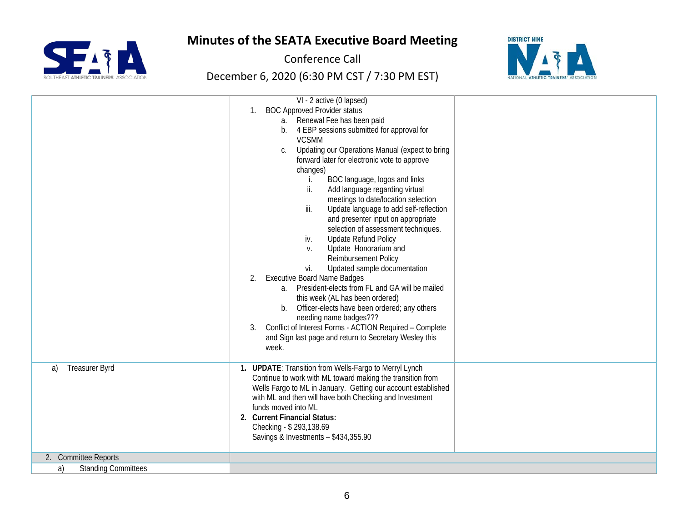



Conference Call



|                                  | VI - 2 active (0 lapsed)<br><b>BOC Approved Provider status</b><br>1.<br>a. Renewal Fee has been paid<br>4 EBP sessions submitted for approval for<br>$b_{-}$<br><b>VCSMM</b><br>Updating our Operations Manual (expect to bring<br>C.<br>forward later for electronic vote to approve<br>changes)<br>BOC language, logos and links<br>ii.<br>Add language regarding virtual<br>meetings to date/location selection<br>iii.<br>Update language to add self-reflection<br>and presenter input on appropriate<br>selection of assessment techniques.<br><b>Update Refund Policy</b><br>iv.<br>Update Honorarium and<br>V.<br>Reimbursement Policy<br>Updated sample documentation<br>vi.<br><b>Executive Board Name Badges</b><br>2.<br>President-elects from FL and GA will be mailed<br>$a_{-}$<br>this week (AL has been ordered)<br>Officer-elects have been ordered; any others<br>b.<br>needing name badges???<br>Conflict of Interest Forms - ACTION Required - Complete<br>3.<br>and Sign last page and return to Secretary Wesley this<br>week. |  |
|----------------------------------|--------------------------------------------------------------------------------------------------------------------------------------------------------------------------------------------------------------------------------------------------------------------------------------------------------------------------------------------------------------------------------------------------------------------------------------------------------------------------------------------------------------------------------------------------------------------------------------------------------------------------------------------------------------------------------------------------------------------------------------------------------------------------------------------------------------------------------------------------------------------------------------------------------------------------------------------------------------------------------------------------------------------------------------------------------|--|
| <b>Treasurer Byrd</b><br>a)      | 1. UPDATE: Transition from Wells-Fargo to Merryl Lynch<br>Continue to work with ML toward making the transition from<br>Wells Fargo to ML in January. Getting our account established<br>with ML and then will have both Checking and Investment<br>funds moved into ML<br>2. Current Financial Status:<br>Checking - \$293,138.69<br>Savings & Investments - \$434,355.90                                                                                                                                                                                                                                                                                                                                                                                                                                                                                                                                                                                                                                                                             |  |
| 2. Committee Reports             |                                                                                                                                                                                                                                                                                                                                                                                                                                                                                                                                                                                                                                                                                                                                                                                                                                                                                                                                                                                                                                                        |  |
| <b>Standing Committees</b><br>a) |                                                                                                                                                                                                                                                                                                                                                                                                                                                                                                                                                                                                                                                                                                                                                                                                                                                                                                                                                                                                                                                        |  |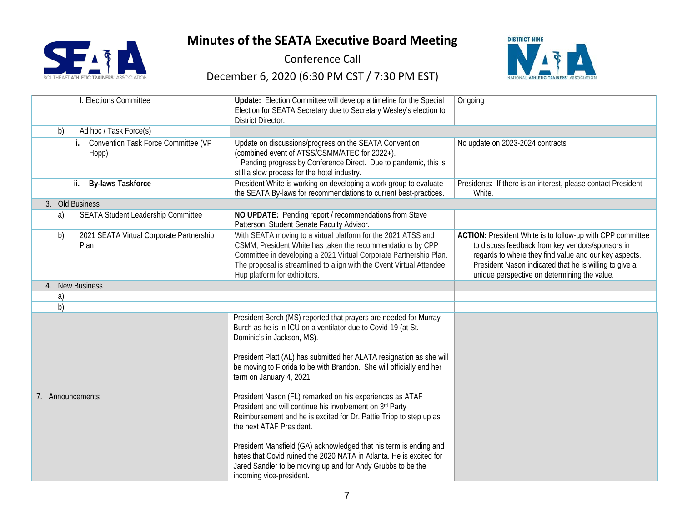

Conference Call



| . Elections Committee                                     | Update: Election Committee will develop a timeline for the Special<br>Election for SEATA Secretary due to Secretary Wesley's election to<br><b>District Director.</b>                                                                                                                                                                                                                                                                                                                                                                                                                                                                                                                                                                                                                                        | Ongoing                                                                                                                                                                                                                                                                           |
|-----------------------------------------------------------|--------------------------------------------------------------------------------------------------------------------------------------------------------------------------------------------------------------------------------------------------------------------------------------------------------------------------------------------------------------------------------------------------------------------------------------------------------------------------------------------------------------------------------------------------------------------------------------------------------------------------------------------------------------------------------------------------------------------------------------------------------------------------------------------------------------|-----------------------------------------------------------------------------------------------------------------------------------------------------------------------------------------------------------------------------------------------------------------------------------|
| Ad hoc / Task Force(s)<br>b)                              |                                                                                                                                                                                                                                                                                                                                                                                                                                                                                                                                                                                                                                                                                                                                                                                                              |                                                                                                                                                                                                                                                                                   |
| <b>Convention Task Force Committee (VP</b><br>i.<br>Hopp) | Update on discussions/progress on the SEATA Convention<br>(combined event of ATSS/CSMM/ATEC for 2022+).<br>Pending progress by Conference Direct. Due to pandemic, this is<br>still a slow process for the hotel industry.                                                                                                                                                                                                                                                                                                                                                                                                                                                                                                                                                                                   | No update on 2023-2024 contracts                                                                                                                                                                                                                                                  |
| ii.<br><b>By-laws Taskforce</b>                           | President White is working on developing a work group to evaluate<br>the SEATA By-laws for recommendations to current best-practices.                                                                                                                                                                                                                                                                                                                                                                                                                                                                                                                                                                                                                                                                        | Presidents: If there is an interest, please contact President<br>White.                                                                                                                                                                                                           |
| 3. Old Business                                           |                                                                                                                                                                                                                                                                                                                                                                                                                                                                                                                                                                                                                                                                                                                                                                                                              |                                                                                                                                                                                                                                                                                   |
| SEATA Student Leadership Committee<br>a)                  | NO UPDATE: Pending report / recommendations from Steve<br>Patterson, Student Senate Faculty Advisor.                                                                                                                                                                                                                                                                                                                                                                                                                                                                                                                                                                                                                                                                                                         |                                                                                                                                                                                                                                                                                   |
| b)<br>2021 SEATA Virtual Corporate Partnership<br>Plan    | With SEATA moving to a virtual platform for the 2021 ATSS and<br>CSMM, President White has taken the recommendations by CPP<br>Committee in developing a 2021 Virtual Corporate Partnership Plan.<br>The proposal is streamlined to align with the Cvent Virtual Attendee<br>Hup platform for exhibitors.                                                                                                                                                                                                                                                                                                                                                                                                                                                                                                    | ACTION: President White is to follow-up with CPP committee<br>to discuss feedback from key vendors/sponsors in<br>regards to where they find value and our key aspects.<br>President Nason indicated that he is willing to give a<br>unique perspective on determining the value. |
| 4. New Business                                           |                                                                                                                                                                                                                                                                                                                                                                                                                                                                                                                                                                                                                                                                                                                                                                                                              |                                                                                                                                                                                                                                                                                   |
| a)                                                        |                                                                                                                                                                                                                                                                                                                                                                                                                                                                                                                                                                                                                                                                                                                                                                                                              |                                                                                                                                                                                                                                                                                   |
| b)                                                        |                                                                                                                                                                                                                                                                                                                                                                                                                                                                                                                                                                                                                                                                                                                                                                                                              |                                                                                                                                                                                                                                                                                   |
| 7. Announcements                                          | President Berch (MS) reported that prayers are needed for Murray<br>Burch as he is in ICU on a ventilator due to Covid-19 (at St.<br>Dominic's in Jackson, MS).<br>President Platt (AL) has submitted her ALATA resignation as she will<br>be moving to Florida to be with Brandon. She will officially end her<br>term on January 4, 2021.<br>President Nason (FL) remarked on his experiences as ATAF<br>President and will continue his involvement on 3rd Party<br>Reimbursement and he is excited for Dr. Pattie Tripp to step up as<br>the next ATAF President.<br>President Mansfield (GA) acknowledged that his term is ending and<br>hates that Covid ruined the 2020 NATA in Atlanta. He is excited for<br>Jared Sandler to be moving up and for Andy Grubbs to be the<br>incoming vice-president. |                                                                                                                                                                                                                                                                                   |